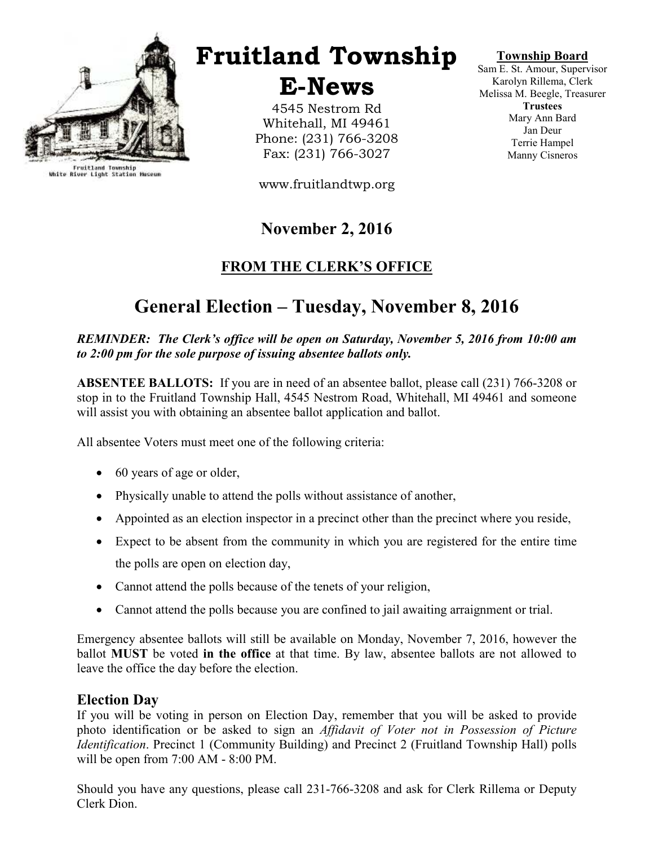

Fruitland Township<br>White River Light Station Museum

Fruitland Township

E-News

4545 Nestrom Rd Whitehall, MI 49461 Phone: (231) 766-3208 Fax: (231) 766-3027

www.fruitlandtwp.org

# November 2, 2016

# FROM THE CLERK'S OFFICE

# General Election – Tuesday, November 8, 2016

#### REMINDER: The Clerk's office will be open on Saturday, November 5, 2016 from 10:00 am to 2:00 pm for the sole purpose of issuing absentee ballots only.

ABSENTEE BALLOTS: If you are in need of an absentee ballot, please call (231) 766-3208 or stop in to the Fruitland Township Hall, 4545 Nestrom Road, Whitehall, MI 49461 and someone will assist you with obtaining an absentee ballot application and ballot.

All absentee Voters must meet one of the following criteria:

- 60 years of age or older,
- Physically unable to attend the polls without assistance of another,
- Appointed as an election inspector in a precinct other than the precinct where you reside,
- Expect to be absent from the community in which you are registered for the entire time the polls are open on election day,
- Cannot attend the polls because of the tenets of your religion,
- Cannot attend the polls because you are confined to jail awaiting arraignment or trial.

Emergency absentee ballots will still be available on Monday, November 7, 2016, however the ballot **MUST** be voted in the office at that time. By law, absentee ballots are not allowed to leave the office the day before the election.

#### Election Day

If you will be voting in person on Election Day, remember that you will be asked to provide photo identification or be asked to sign an Affidavit of Voter not in Possession of Picture Identification. Precinct 1 (Community Building) and Precinct 2 (Fruitland Township Hall) polls will be open from 7:00 AM - 8:00 PM.

Should you have any questions, please call 231-766-3208 and ask for Clerk Rillema or Deputy Clerk Dion.

Township Board

Sam E. St. Amour, Supervisor Karolyn Rillema, Clerk Melissa M. Beegle, Treasurer **Trustees** Mary Ann Bard Jan Deur Terrie Hampel Manny Cisneros